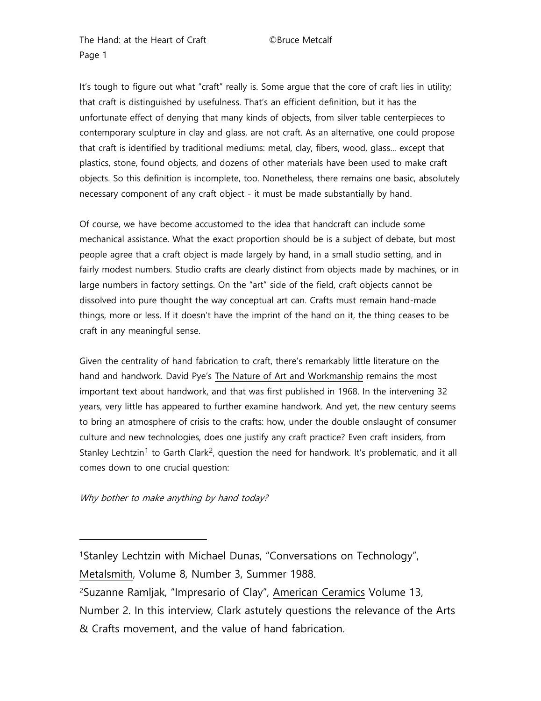It's tough to figure out what "craft" really is. Some argue that the core of craft lies in utility; that craft is distinguished by usefulness. That's an efficient definition, but it has the unfortunate effect of denying that many kinds of objects, from silver table centerpieces to contemporary sculpture in clay and glass, are not craft. As an alternative, one could propose that craft is identified by traditional mediums: metal, clay, fibers, wood, glass... except that plastics, stone, found objects, and dozens of other materials have been used to make craft objects. So this definition is incomplete, too. Nonetheless, there remains one basic, absolutely necessary component of any craft object - it must be made substantially by hand.

Of course, we have become accustomed to the idea that handcraft can include some mechanical assistance. What the exact proportion should be is a subject of debate, but most people agree that a craft object is made largely by hand, in a small studio setting, and in fairly modest numbers. Studio crafts are clearly distinct from objects made by machines, or in large numbers in factory settings. On the "art" side of the field, craft objects cannot be dissolved into pure thought the way conceptual art can. Crafts must remain hand-made things, more or less. If it doesn't have the imprint of the hand on it, the thing ceases to be craft in any meaningful sense.

Given the centrality of hand fabrication to craft, there's remarkably little literature on the hand and handwork. David Pye's The Nature of Art and Workmanship remains the most important text about handwork, and that was first published in 1968. In the intervening 32 years, very little has appeared to further examine handwork. And yet, the new century seems to bring an atmosphere of crisis to the crafts: how, under the double onslaught of consumer culture and new technologies, does one justify any craft practice? Even craft insiders, from Stanley Lechtzin<sup>[1](#page-0-0)</sup> to Garth Clark<sup>2</sup>, question the need for handwork. It's problematic, and it all comes down to one crucial question:

Why bother to make anything by hand today?

-

Metalsmith, Volume 8, Number 3, Summer 1988.

<span id="page-0-1"></span>2Suzanne Ramljak, "Impresario of Clay", American Ceramics Volume 13, Number 2. In this interview, Clark astutely questions the relevance of the Arts & Crafts movement, and the value of hand fabrication.

<span id="page-0-0"></span><sup>1</sup>Stanley Lechtzin with Michael Dunas, "Conversations on Technology",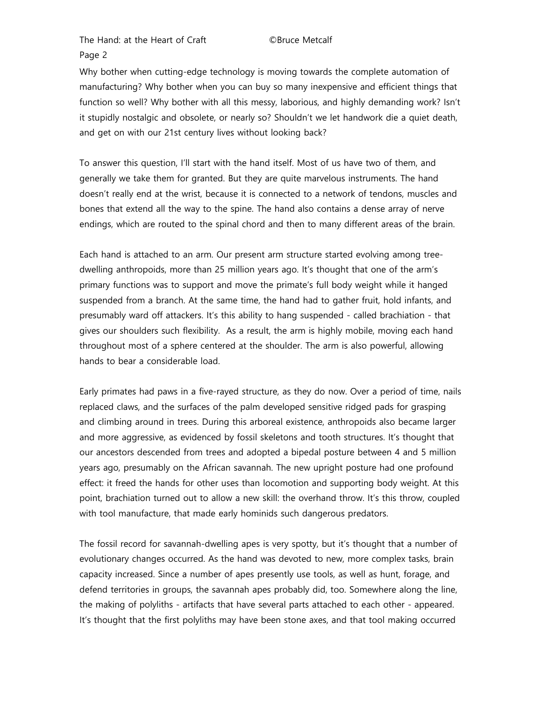Why bother when cutting-edge technology is moving towards the complete automation of manufacturing? Why bother when you can buy so many inexpensive and efficient things that function so well? Why bother with all this messy, laborious, and highly demanding work? Isn't it stupidly nostalgic and obsolete, or nearly so? Shouldn't we let handwork die a quiet death, and get on with our 21st century lives without looking back?

To answer this question, I'll start with the hand itself. Most of us have two of them, and generally we take them for granted. But they are quite marvelous instruments. The hand doesn't really end at the wrist, because it is connected to a network of tendons, muscles and bones that extend all the way to the spine. The hand also contains a dense array of nerve endings, which are routed to the spinal chord and then to many different areas of the brain.

Each hand is attached to an arm. Our present arm structure started evolving among treedwelling anthropoids, more than 25 million years ago. It's thought that one of the arm's primary functions was to support and move the primate's full body weight while it hanged suspended from a branch. At the same time, the hand had to gather fruit, hold infants, and presumably ward off attackers. It's this ability to hang suspended - called brachiation - that gives our shoulders such flexibility. As a result, the arm is highly mobile, moving each hand throughout most of a sphere centered at the shoulder. The arm is also powerful, allowing hands to bear a considerable load.

Early primates had paws in a five-rayed structure, as they do now. Over a period of time, nails replaced claws, and the surfaces of the palm developed sensitive ridged pads for grasping and climbing around in trees. During this arboreal existence, anthropoids also became larger and more aggressive, as evidenced by fossil skeletons and tooth structures. It's thought that our ancestors descended from trees and adopted a bipedal posture between 4 and 5 million years ago, presumably on the African savannah. The new upright posture had one profound effect: it freed the hands for other uses than locomotion and supporting body weight. At this point, brachiation turned out to allow a new skill: the overhand throw. It's this throw, coupled with tool manufacture, that made early hominids such dangerous predators.

The fossil record for savannah-dwelling apes is very spotty, but it's thought that a number of evolutionary changes occurred. As the hand was devoted to new, more complex tasks, brain capacity increased. Since a number of apes presently use tools, as well as hunt, forage, and defend territories in groups, the savannah apes probably did, too. Somewhere along the line, the making of polyliths - artifacts that have several parts attached to each other - appeared. It's thought that the first polyliths may have been stone axes, and that tool making occurred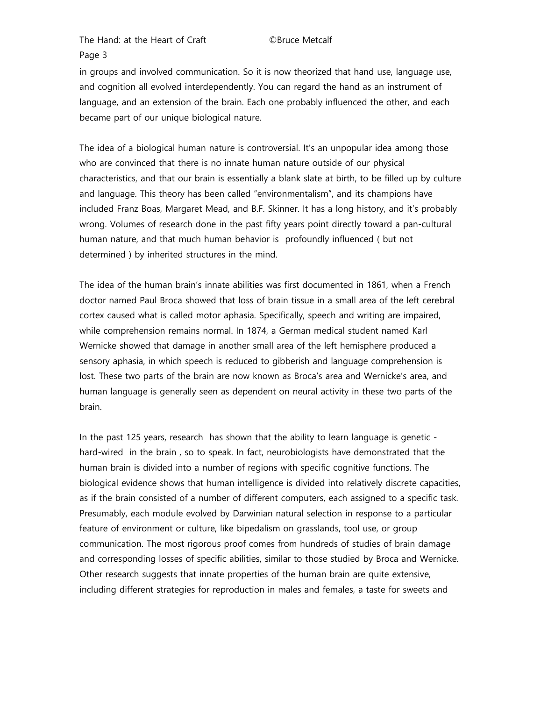in groups and involved communication. So it is now theorized that hand use, language use, and cognition all evolved interdependently. You can regard the hand as an instrument of language, and an extension of the brain. Each one probably influenced the other, and each became part of our unique biological nature.

The idea of a biological human nature is controversial. It's an unpopular idea among those who are convinced that there is no innate human nature outside of our physical characteristics, and that our brain is essentially a blank slate at birth, to be filled up by culture and language. This theory has been called "environmentalism", and its champions have included Franz Boas, Margaret Mead, and B.F. Skinner. It has a long history, and it's probably wrong. Volumes of research done in the past fifty years point directly toward a pan-cultural human nature, and that much human behavior is profoundly influenced ( but not determined ) by inherited structures in the mind.

The idea of the human brain's innate abilities was first documented in 1861, when a French doctor named Paul Broca showed that loss of brain tissue in a small area of the left cerebral cortex caused what is called motor aphasia. Specifically, speech and writing are impaired, while comprehension remains normal. In 1874, a German medical student named Karl Wernicke showed that damage in another small area of the left hemisphere produced a sensory aphasia, in which speech is reduced to gibberish and language comprehension is lost. These two parts of the brain are now known as Broca's area and Wernicke's area, and human language is generally seen as dependent on neural activity in these two parts of the brain.

In the past 125 years, research has shown that the ability to learn language is genetic hard-wired in the brain , so to speak. In fact, neurobiologists have demonstrated that the human brain is divided into a number of regions with specific cognitive functions. The biological evidence shows that human intelligence is divided into relatively discrete capacities, as if the brain consisted of a number of different computers, each assigned to a specific task. Presumably, each module evolved by Darwinian natural selection in response to a particular feature of environment or culture, like bipedalism on grasslands, tool use, or group communication. The most rigorous proof comes from hundreds of studies of brain damage and corresponding losses of specific abilities, similar to those studied by Broca and Wernicke. Other research suggests that innate properties of the human brain are quite extensive, including different strategies for reproduction in males and females, a taste for sweets and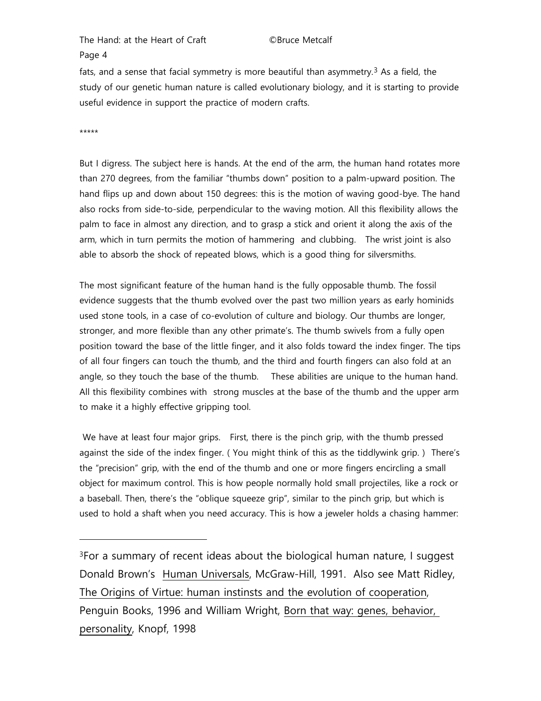fats, and a sense that facial symmetry is more beautiful than asymmetry.<sup>[3](#page-3-0)</sup> As a field, the study of our genetic human nature is called evolutionary biology, and it is starting to provide useful evidence in support the practice of modern crafts.

\*\*\*\*\*

-

But I digress. The subject here is hands. At the end of the arm, the human hand rotates more than 270 degrees, from the familiar "thumbs down" position to a palm-upward position. The hand flips up and down about 150 degrees: this is the motion of waving good-bye. The hand also rocks from side-to-side, perpendicular to the waving motion. All this flexibility allows the palm to face in almost any direction, and to grasp a stick and orient it along the axis of the arm, which in turn permits the motion of hammering and clubbing. The wrist joint is also able to absorb the shock of repeated blows, which is a good thing for silversmiths.

The most significant feature of the human hand is the fully opposable thumb. The fossil evidence suggests that the thumb evolved over the past two million years as early hominids used stone tools, in a case of co-evolution of culture and biology. Our thumbs are longer, stronger, and more flexible than any other primate's. The thumb swivels from a fully open position toward the base of the little finger, and it also folds toward the index finger. The tips of all four fingers can touch the thumb, and the third and fourth fingers can also fold at an angle, so they touch the base of the thumb. These abilities are unique to the human hand. All this flexibility combines with strong muscles at the base of the thumb and the upper arm to make it a highly effective gripping tool.

We have at least four major grips. First, there is the pinch grip, with the thumb pressed against the side of the index finger. ( You might think of this as the tiddlywink grip. ) There's the "precision" grip, with the end of the thumb and one or more fingers encircling a small object for maximum control. This is how people normally hold small projectiles, like a rock or a baseball. Then, there's the "oblique squeeze grip", similar to the pinch grip, but which is used to hold a shaft when you need accuracy. This is how a jeweler holds a chasing hammer:

<span id="page-3-0"></span>3For a summary of recent ideas about the biological human nature, I suggest Donald Brown's Human Universals, McGraw-Hill, 1991. Also see Matt Ridley, The Origins of Virtue: human instinsts and the evolution of cooperation, Penguin Books, 1996 and William Wright, Born that way: genes, behavior, personality, Knopf, 1998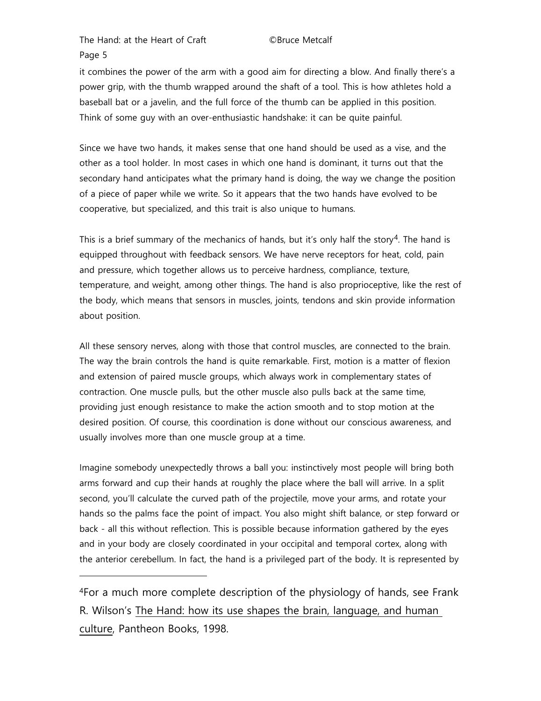-

it combines the power of the arm with a good aim for directing a blow. And finally there's a power grip, with the thumb wrapped around the shaft of a tool. This is how athletes hold a baseball bat or a javelin, and the full force of the thumb can be applied in this position. Think of some guy with an over-enthusiastic handshake: it can be quite painful.

Since we have two hands, it makes sense that one hand should be used as a vise, and the other as a tool holder. In most cases in which one hand is dominant, it turns out that the secondary hand anticipates what the primary hand is doing, the way we change the position of a piece of paper while we write. So it appears that the two hands have evolved to be cooperative, but specialized, and this trait is also unique to humans.

This is a brief summary of the mechanics of hands, but it's only half the story<sup>[4](#page-4-0)</sup>. The hand is equipped throughout with feedback sensors. We have nerve receptors for heat, cold, pain and pressure, which together allows us to perceive hardness, compliance, texture, temperature, and weight, among other things. The hand is also proprioceptive, like the rest of the body, which means that sensors in muscles, joints, tendons and skin provide information about position.

All these sensory nerves, along with those that control muscles, are connected to the brain. The way the brain controls the hand is quite remarkable. First, motion is a matter of flexion and extension of paired muscle groups, which always work in complementary states of contraction. One muscle pulls, but the other muscle also pulls back at the same time, providing just enough resistance to make the action smooth and to stop motion at the desired position. Of course, this coordination is done without our conscious awareness, and usually involves more than one muscle group at a time.

Imagine somebody unexpectedly throws a ball you: instinctively most people will bring both arms forward and cup their hands at roughly the place where the ball will arrive. In a split second, you'll calculate the curved path of the projectile, move your arms, and rotate your hands so the palms face the point of impact. You also might shift balance, or step forward or back - all this without reflection. This is possible because information gathered by the eyes and in your body are closely coordinated in your occipital and temporal cortex, along with the anterior cerebellum. In fact, the hand is a privileged part of the body. It is represented by

<span id="page-4-0"></span>4For a much more complete description of the physiology of hands, see Frank R. Wilson's The Hand: how its use shapes the brain, language, and human culture, Pantheon Books, 1998.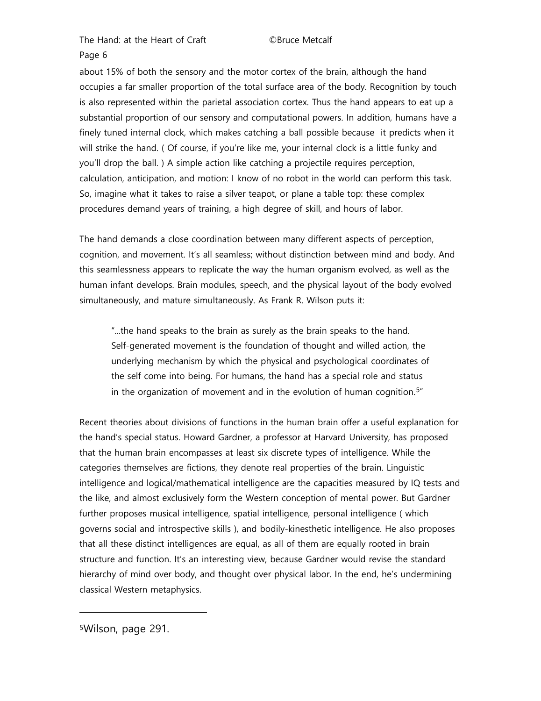about 15% of both the sensory and the motor cortex of the brain, although the hand occupies a far smaller proportion of the total surface area of the body. Recognition by touch is also represented within the parietal association cortex. Thus the hand appears to eat up a substantial proportion of our sensory and computational powers. In addition, humans have a finely tuned internal clock, which makes catching a ball possible because it predicts when it will strike the hand. ( Of course, if you're like me, your internal clock is a little funky and you'll drop the ball. ) A simple action like catching a projectile requires perception, calculation, anticipation, and motion: I know of no robot in the world can perform this task. So, imagine what it takes to raise a silver teapot, or plane a table top: these complex procedures demand years of training, a high degree of skill, and hours of labor.

The hand demands a close coordination between many different aspects of perception, cognition, and movement. It's all seamless; without distinction between mind and body. And this seamlessness appears to replicate the way the human organism evolved, as well as the human infant develops. Brain modules, speech, and the physical layout of the body evolved simultaneously, and mature simultaneously. As Frank R. Wilson puts it:

"...the hand speaks to the brain as surely as the brain speaks to the hand. Self-generated movement is the foundation of thought and willed action, the underlying mechanism by which the physical and psychological coordinates of the self come into being. For humans, the hand has a special role and status in the organization of movement and in the evolution of human cognition.<sup>[5](#page-5-0) $"$ </sup>

Recent theories about divisions of functions in the human brain offer a useful explanation for the hand's special status. Howard Gardner, a professor at Harvard University, has proposed that the human brain encompasses at least six discrete types of intelligence. While the categories themselves are fictions, they denote real properties of the brain. Linguistic intelligence and logical/mathematical intelligence are the capacities measured by IQ tests and the like, and almost exclusively form the Western conception of mental power. But Gardner further proposes musical intelligence, spatial intelligence, personal intelligence ( which governs social and introspective skills ), and bodily-kinesthetic intelligence. He also proposes that all these distinct intelligences are equal, as all of them are equally rooted in brain structure and function. It's an interesting view, because Gardner would revise the standard hierarchy of mind over body, and thought over physical labor. In the end, he's undermining classical Western metaphysics.

<span id="page-5-0"></span>5Wilson, page 291.

l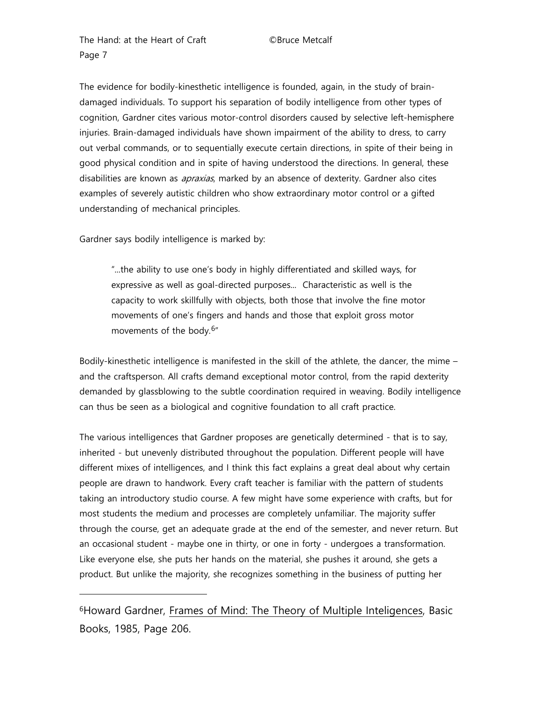The evidence for bodily-kinesthetic intelligence is founded, again, in the study of braindamaged individuals. To support his separation of bodily intelligence from other types of cognition, Gardner cites various motor-control disorders caused by selective left-hemisphere injuries. Brain-damaged individuals have shown impairment of the ability to dress, to carry out verbal commands, or to sequentially execute certain directions, in spite of their being in good physical condition and in spite of having understood the directions. In general, these disabilities are known as *apraxias*, marked by an absence of dexterity. Gardner also cites examples of severely autistic children who show extraordinary motor control or a gifted understanding of mechanical principles.

Gardner says bodily intelligence is marked by:

l

"...the ability to use one's body in highly differentiated and skilled ways, for expressive as well as goal-directed purposes... Characteristic as well is the capacity to work skillfully with objects, both those that involve the fine motor movements of one's fingers and hands and those that exploit gross motor movements of the body.[6](#page-6-0)"

Bodily-kinesthetic intelligence is manifested in the skill of the athlete, the dancer, the mime – and the craftsperson. All crafts demand exceptional motor control, from the rapid dexterity demanded by glassblowing to the subtle coordination required in weaving. Bodily intelligence can thus be seen as a biological and cognitive foundation to all craft practice.

The various intelligences that Gardner proposes are genetically determined - that is to say, inherited - but unevenly distributed throughout the population. Different people will have different mixes of intelligences, and I think this fact explains a great deal about why certain people are drawn to handwork. Every craft teacher is familiar with the pattern of students taking an introductory studio course. A few might have some experience with crafts, but for most students the medium and processes are completely unfamiliar. The majority suffer through the course, get an adequate grade at the end of the semester, and never return. But an occasional student - maybe one in thirty, or one in forty - undergoes a transformation. Like everyone else, she puts her hands on the material, she pushes it around, she gets a product. But unlike the majority, she recognizes something in the business of putting her

<span id="page-6-0"></span>6Howard Gardner, Frames of Mind: The Theory of Multiple Inteligences, Basic Books, 1985, Page 206.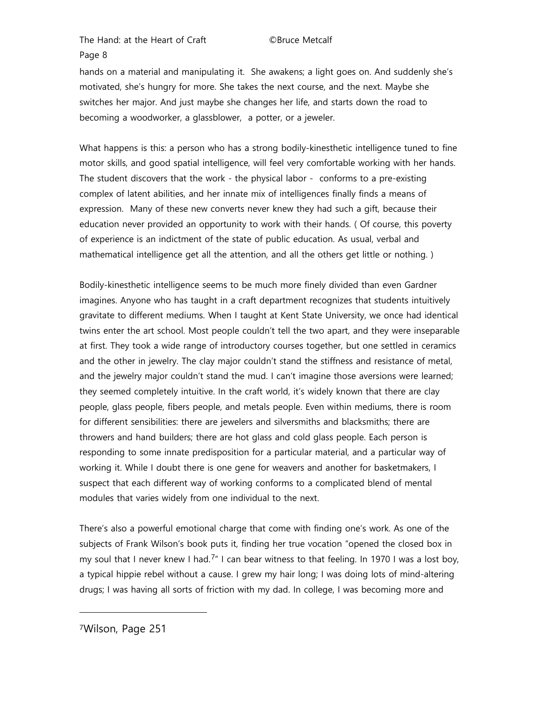hands on a material and manipulating it. She awakens; a light goes on. And suddenly she's motivated, she's hungry for more. She takes the next course, and the next. Maybe she switches her major. And just maybe she changes her life, and starts down the road to becoming a woodworker, a glassblower, a potter, or a jeweler.

What happens is this: a person who has a strong bodily-kinesthetic intelligence tuned to fine motor skills, and good spatial intelligence, will feel very comfortable working with her hands. The student discovers that the work - the physical labor - conforms to a pre-existing complex of latent abilities, and her innate mix of intelligences finally finds a means of expression. Many of these new converts never knew they had such a gift, because their education never provided an opportunity to work with their hands. ( Of course, this poverty of experience is an indictment of the state of public education. As usual, verbal and mathematical intelligence get all the attention, and all the others get little or nothing. )

Bodily-kinesthetic intelligence seems to be much more finely divided than even Gardner imagines. Anyone who has taught in a craft department recognizes that students intuitively gravitate to different mediums. When I taught at Kent State University, we once had identical twins enter the art school. Most people couldn't tell the two apart, and they were inseparable at first. They took a wide range of introductory courses together, but one settled in ceramics and the other in jewelry. The clay major couldn't stand the stiffness and resistance of metal, and the jewelry major couldn't stand the mud. I can't imagine those aversions were learned; they seemed completely intuitive. In the craft world, it's widely known that there are clay people, glass people, fibers people, and metals people. Even within mediums, there is room for different sensibilities: there are jewelers and silversmiths and blacksmiths; there are throwers and hand builders; there are hot glass and cold glass people. Each person is responding to some innate predisposition for a particular material, and a particular way of working it. While I doubt there is one gene for weavers and another for basketmakers, I suspect that each different way of working conforms to a complicated blend of mental modules that varies widely from one individual to the next.

There's also a powerful emotional charge that come with finding one's work. As one of the subjects of Frank Wilson's book puts it, finding her true vocation "opened the closed box in my soul that I never knew I had.<sup>[7](#page-7-0)"</sup> I can bear witness to that feeling. In 1970 I was a lost boy, a typical hippie rebel without a cause. I grew my hair long; I was doing lots of mind-altering drugs; I was having all sorts of friction with my dad. In college, I was becoming more and

<span id="page-7-0"></span>7Wilson, Page 251

l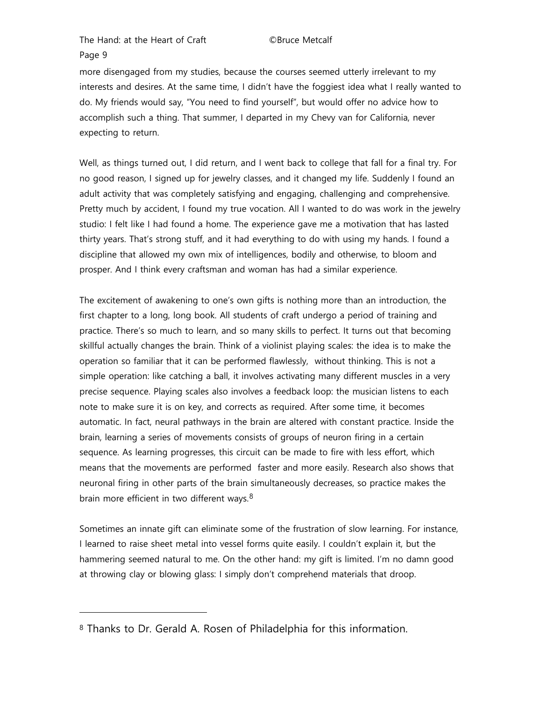l

more disengaged from my studies, because the courses seemed utterly irrelevant to my interests and desires. At the same time, I didn't have the foggiest idea what I really wanted to do. My friends would say, "You need to find yourself", but would offer no advice how to accomplish such a thing. That summer, I departed in my Chevy van for California, never expecting to return.

Well, as things turned out, I did return, and I went back to college that fall for a final try. For no good reason, I signed up for jewelry classes, and it changed my life. Suddenly I found an adult activity that was completely satisfying and engaging, challenging and comprehensive. Pretty much by accident, I found my true vocation. All I wanted to do was work in the jewelry studio: I felt like I had found a home. The experience gave me a motivation that has lasted thirty years. That's strong stuff, and it had everything to do with using my hands. I found a discipline that allowed my own mix of intelligences, bodily and otherwise, to bloom and prosper. And I think every craftsman and woman has had a similar experience.

The excitement of awakening to one's own gifts is nothing more than an introduction, the first chapter to a long, long book. All students of craft undergo a period of training and practice. There's so much to learn, and so many skills to perfect. It turns out that becoming skillful actually changes the brain. Think of a violinist playing scales: the idea is to make the operation so familiar that it can be performed flawlessly, without thinking. This is not a simple operation: like catching a ball, it involves activating many different muscles in a very precise sequence. Playing scales also involves a feedback loop: the musician listens to each note to make sure it is on key, and corrects as required. After some time, it becomes automatic. In fact, neural pathways in the brain are altered with constant practice. Inside the brain, learning a series of movements consists of groups of neuron firing in a certain sequence. As learning progresses, this circuit can be made to fire with less effort, which means that the movements are performed faster and more easily. Research also shows that neuronal firing in other parts of the brain simultaneously decreases, so practice makes the brain more efficient in two different ways.<sup>[8](#page-8-0)</sup>

Sometimes an innate gift can eliminate some of the frustration of slow learning. For instance, I learned to raise sheet metal into vessel forms quite easily. I couldn't explain it, but the hammering seemed natural to me. On the other hand: my gift is limited. I'm no damn good at throwing clay or blowing glass: I simply don't comprehend materials that droop.

<span id="page-8-0"></span><sup>8</sup> Thanks to Dr. Gerald A. Rosen of Philadelphia for this information.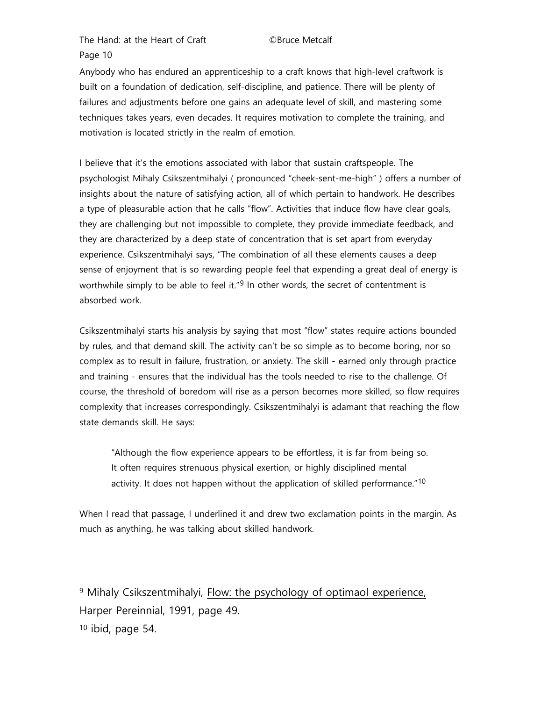Anybody who has endured an apprenticeship to a craft knows that high-level craftwork is built on a foundation of dedication, self-discipline, and patience. There will be plenty of failures and adjustments before one gains an adequate level of skill, and mastering some techniques takes years, even decades. It requires motivation to complete the training, and motivation is located strictly in the realm of emotion.

I believe that it's the emotions associated with labor that sustain craftspeople. The psychologist Mihaly Csikszentmihalyi ( pronounced "cheek-sent-me-high" ) offers a number of insights about the nature of satisfying action, all of which pertain to handwork. He describes a type of pleasurable action that he calls "flow". Activities that induce flow have clear goals, they are challenging but not impossible to complete, they provide immediate feedback, and they are characterized by a deep state of concentration that is set apart from everyday experience. Csikszentmihalyi says, "The combination of all these elements causes a deep sense of enjoyment that is so rewarding people feel that expending a great deal of energy is worthwhile simply to be able to feel it."<sup>[9](#page-9-0)</sup> In other words, the secret of contentment is absorbed work.

Csikszentmihalyi starts his analysis by saying that most "flow" states require actions bounded by rules, and that demand skill. The activity can't be so simple as to become boring, nor so complex as to result in failure, frustration, or anxiety. The skill - earned only through practice and training - ensures that the individual has the tools needed to rise to the challenge. Of course, the threshold of boredom will rise as a person becomes more skilled, so flow requires complexity that increases correspondingly. Csikszentmihalyi is adamant that reaching the flow state demands skill. He says:

"Although the flow experience appears to be effortless, it is far from being so. It often requires strenuous physical exertion, or highly disciplined mental activity. It does not happen without the application of skilled performance."<sup>[10](#page-9-1)</sup>

When I read that passage, I underlined it and drew two exclamation points in the margin. As much as anything, he was talking about skilled handwork.

<span id="page-9-0"></span><sup>9</sup> Mihaly Csikszentmihalyi, Flow: the psychology of optimaol experience, Harper Pereinnial, 1991, page 49.

-

<span id="page-9-1"></span><sup>10</sup> ibid, page 54.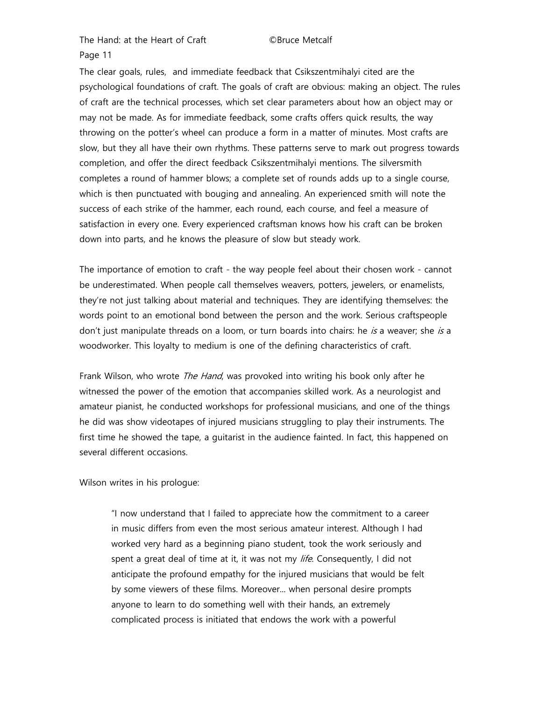The clear goals, rules, and immediate feedback that Csikszentmihalyi cited are the psychological foundations of craft. The goals of craft are obvious: making an object. The rules of craft are the technical processes, which set clear parameters about how an object may or may not be made. As for immediate feedback, some crafts offers quick results, the way throwing on the potter's wheel can produce a form in a matter of minutes. Most crafts are slow, but they all have their own rhythms. These patterns serve to mark out progress towards completion, and offer the direct feedback Csikszentmihalyi mentions. The silversmith completes a round of hammer blows; a complete set of rounds adds up to a single course, which is then punctuated with bouging and annealing. An experienced smith will note the success of each strike of the hammer, each round, each course, and feel a measure of satisfaction in every one. Every experienced craftsman knows how his craft can be broken down into parts, and he knows the pleasure of slow but steady work.

The importance of emotion to craft - the way people feel about their chosen work - cannot be underestimated. When people call themselves weavers, potters, jewelers, or enamelists, they're not just talking about material and techniques. They are identifying themselves: the words point to an emotional bond between the person and the work. Serious craftspeople don't just manipulate threads on a loom, or turn boards into chairs: he is a weaver; she is a woodworker. This loyalty to medium is one of the defining characteristics of craft.

Frank Wilson, who wrote *The Hand*, was provoked into writing his book only after he witnessed the power of the emotion that accompanies skilled work. As a neurologist and amateur pianist, he conducted workshops for professional musicians, and one of the things he did was show videotapes of injured musicians struggling to play their instruments. The first time he showed the tape, a guitarist in the audience fainted. In fact, this happened on several different occasions.

Wilson writes in his prologue:

"I now understand that I failed to appreciate how the commitment to a career in music differs from even the most serious amateur interest. Although I had worked very hard as a beginning piano student, took the work seriously and spent a great deal of time at it, it was not my *life*. Consequently, I did not anticipate the profound empathy for the injured musicians that would be felt by some viewers of these films. Moreover... when personal desire prompts anyone to learn to do something well with their hands, an extremely complicated process is initiated that endows the work with a powerful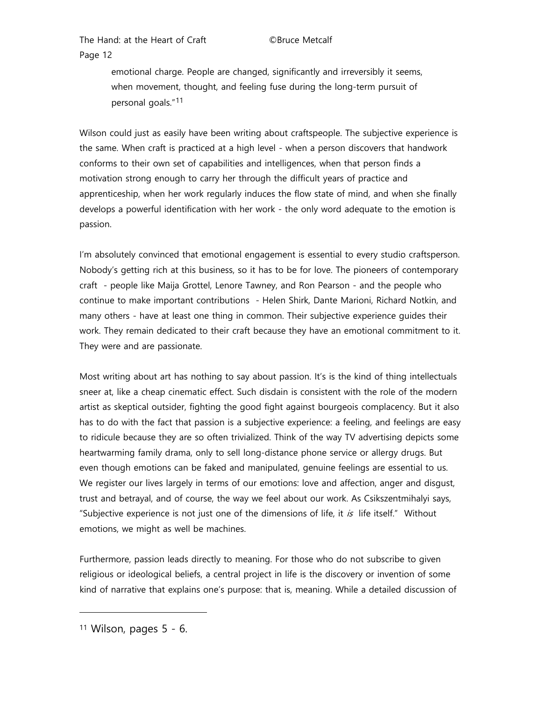> emotional charge. People are changed, significantly and irreversibly it seems, when movement, thought, and feeling fuse during the long-term pursuit of personal goals."[11](#page-11-0)

Wilson could just as easily have been writing about craftspeople. The subjective experience is the same. When craft is practiced at a high level - when a person discovers that handwork conforms to their own set of capabilities and intelligences, when that person finds a motivation strong enough to carry her through the difficult years of practice and apprenticeship, when her work regularly induces the flow state of mind, and when she finally develops a powerful identification with her work - the only word adequate to the emotion is passion.

I'm absolutely convinced that emotional engagement is essential to every studio craftsperson. Nobody's getting rich at this business, so it has to be for love. The pioneers of contemporary craft - people like Maija Grottel, Lenore Tawney, and Ron Pearson - and the people who continue to make important contributions - Helen Shirk, Dante Marioni, Richard Notkin, and many others - have at least one thing in common. Their subjective experience guides their work. They remain dedicated to their craft because they have an emotional commitment to it. They were and are passionate.

Most writing about art has nothing to say about passion. It's is the kind of thing intellectuals sneer at, like a cheap cinematic effect. Such disdain is consistent with the role of the modern artist as skeptical outsider, fighting the good fight against bourgeois complacency. But it also has to do with the fact that passion is a subjective experience: a feeling, and feelings are easy to ridicule because they are so often trivialized. Think of the way TV advertising depicts some heartwarming family drama, only to sell long-distance phone service or allergy drugs. But even though emotions can be faked and manipulated, genuine feelings are essential to us. We register our lives largely in terms of our emotions: love and affection, anger and disgust, trust and betrayal, and of course, the way we feel about our work. As Csikszentmihalyi says, "Subjective experience is not just one of the dimensions of life, it  $is$  life itself." Without emotions, we might as well be machines.

Furthermore, passion leads directly to meaning. For those who do not subscribe to given religious or ideological beliefs, a central project in life is the discovery or invention of some kind of narrative that explains one's purpose: that is, meaning. While a detailed discussion of

l

<span id="page-11-0"></span> $11$  Wilson, pages  $5 - 6$ .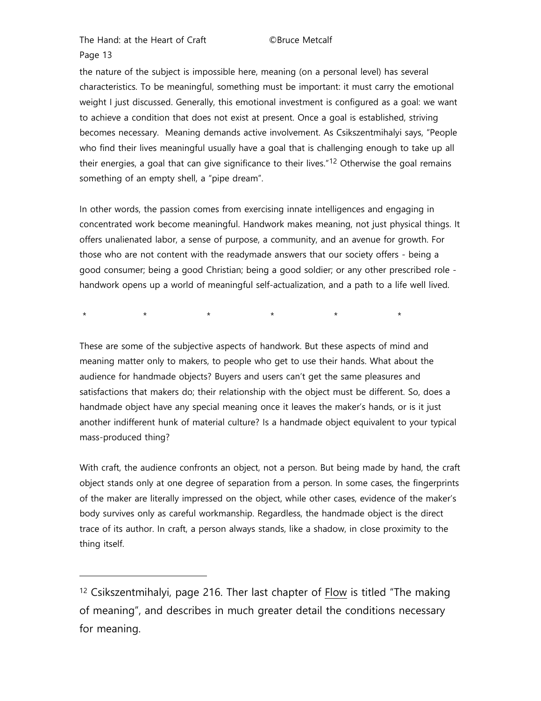Page 13

-

the nature of the subject is impossible here, meaning (on a personal level) has several characteristics. To be meaningful, something must be important: it must carry the emotional weight I just discussed. Generally, this emotional investment is configured as a goal: we want to achieve a condition that does not exist at present. Once a goal is established, striving becomes necessary. Meaning demands active involvement. As Csikszentmihalyi says, "People who find their lives meaningful usually have a goal that is challenging enough to take up all their energies, a goal that can give significance to their lives."<sup>[12](#page-12-0)</sup> Otherwise the goal remains something of an empty shell, a "pipe dream".

In other words, the passion comes from exercising innate intelligences and engaging in concentrated work become meaningful. Handwork makes meaning, not just physical things. It offers unalienated labor, a sense of purpose, a community, and an avenue for growth. For those who are not content with the readymade answers that our society offers - being a good consumer; being a good Christian; being a good soldier; or any other prescribed role handwork opens up a world of meaningful self-actualization, and a path to a life well lived.

\* \* \* \* \* \* \* \* \*

These are some of the subjective aspects of handwork. But these aspects of mind and meaning matter only to makers, to people who get to use their hands. What about the audience for handmade objects? Buyers and users can't get the same pleasures and satisfactions that makers do; their relationship with the object must be different. So, does a handmade object have any special meaning once it leaves the maker's hands, or is it just another indifferent hunk of material culture? Is a handmade object equivalent to your typical mass-produced thing?

With craft, the audience confronts an object, not a person. But being made by hand, the craft object stands only at one degree of separation from a person. In some cases, the fingerprints of the maker are literally impressed on the object, while other cases, evidence of the maker's body survives only as careful workmanship. Regardless, the handmade object is the direct trace of its author. In craft, a person always stands, like a shadow, in close proximity to the thing itself.

<span id="page-12-0"></span><sup>12</sup> Csikszentmihalyi, page 216. Ther last chapter of Flow is titled "The making of meaning", and describes in much greater detail the conditions necessary for meaning.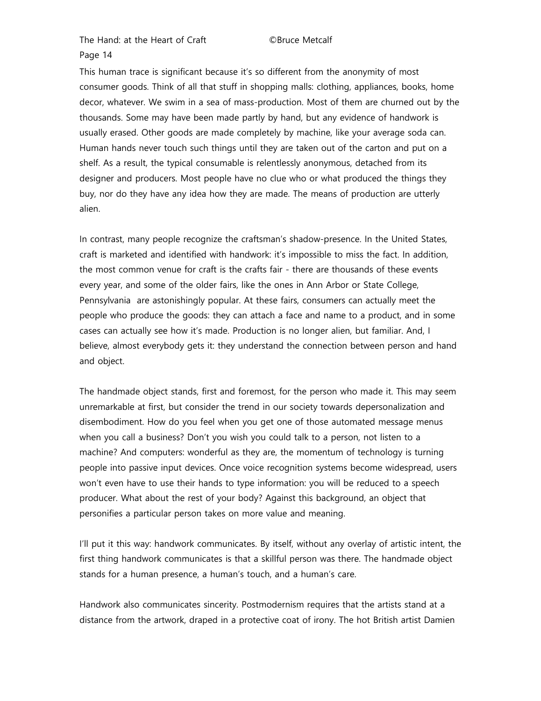This human trace is significant because it's so different from the anonymity of most consumer goods. Think of all that stuff in shopping malls: clothing, appliances, books, home decor, whatever. We swim in a sea of mass-production. Most of them are churned out by the thousands. Some may have been made partly by hand, but any evidence of handwork is usually erased. Other goods are made completely by machine, like your average soda can. Human hands never touch such things until they are taken out of the carton and put on a shelf. As a result, the typical consumable is relentlessly anonymous, detached from its designer and producers. Most people have no clue who or what produced the things they buy, nor do they have any idea how they are made. The means of production are utterly alien.

In contrast, many people recognize the craftsman's shadow-presence. In the United States, craft is marketed and identified with handwork: it's impossible to miss the fact. In addition, the most common venue for craft is the crafts fair - there are thousands of these events every year, and some of the older fairs, like the ones in Ann Arbor or State College, Pennsylvania are astonishingly popular. At these fairs, consumers can actually meet the people who produce the goods: they can attach a face and name to a product, and in some cases can actually see how it's made. Production is no longer alien, but familiar. And, I believe, almost everybody gets it: they understand the connection between person and hand and object.

The handmade object stands, first and foremost, for the person who made it. This may seem unremarkable at first, but consider the trend in our society towards depersonalization and disembodiment. How do you feel when you get one of those automated message menus when you call a business? Don't you wish you could talk to a person, not listen to a machine? And computers: wonderful as they are, the momentum of technology is turning people into passive input devices. Once voice recognition systems become widespread, users won't even have to use their hands to type information: you will be reduced to a speech producer. What about the rest of your body? Against this background, an object that personifies a particular person takes on more value and meaning.

I'll put it this way: handwork communicates. By itself, without any overlay of artistic intent, the first thing handwork communicates is that a skillful person was there. The handmade object stands for a human presence, a human's touch, and a human's care.

Handwork also communicates sincerity. Postmodernism requires that the artists stand at a distance from the artwork, draped in a protective coat of irony. The hot British artist Damien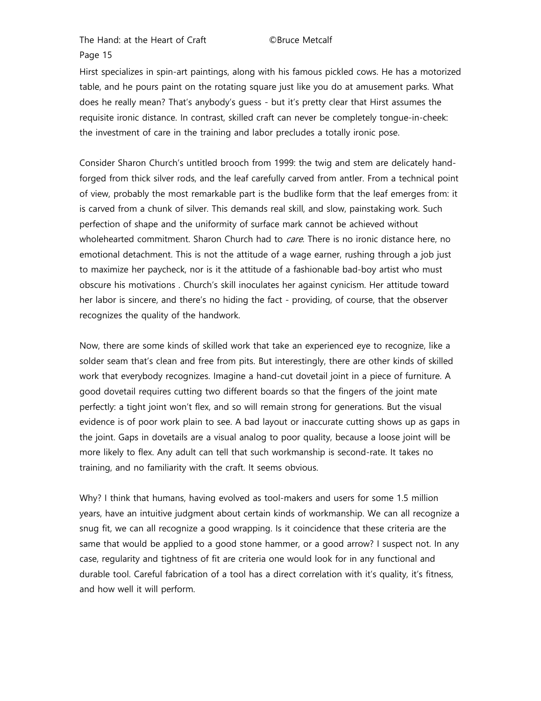Hirst specializes in spin-art paintings, along with his famous pickled cows. He has a motorized table, and he pours paint on the rotating square just like you do at amusement parks. What does he really mean? That's anybody's guess - but it's pretty clear that Hirst assumes the requisite ironic distance. In contrast, skilled craft can never be completely tongue-in-cheek: the investment of care in the training and labor precludes a totally ironic pose.

Consider Sharon Church's untitled brooch from 1999: the twig and stem are delicately handforged from thick silver rods, and the leaf carefully carved from antler. From a technical point of view, probably the most remarkable part is the budlike form that the leaf emerges from: it is carved from a chunk of silver. This demands real skill, and slow, painstaking work. Such perfection of shape and the uniformity of surface mark cannot be achieved without wholehearted commitment. Sharon Church had to *care*. There is no ironic distance here, no emotional detachment. This is not the attitude of a wage earner, rushing through a job just to maximize her paycheck, nor is it the attitude of a fashionable bad-boy artist who must obscure his motivations . Church's skill inoculates her against cynicism. Her attitude toward her labor is sincere, and there's no hiding the fact - providing, of course, that the observer recognizes the quality of the handwork.

Now, there are some kinds of skilled work that take an experienced eye to recognize, like a solder seam that's clean and free from pits. But interestingly, there are other kinds of skilled work that everybody recognizes. Imagine a hand-cut dovetail joint in a piece of furniture. A good dovetail requires cutting two different boards so that the fingers of the joint mate perfectly: a tight joint won't flex, and so will remain strong for generations. But the visual evidence is of poor work plain to see. A bad layout or inaccurate cutting shows up as gaps in the joint. Gaps in dovetails are a visual analog to poor quality, because a loose joint will be more likely to flex. Any adult can tell that such workmanship is second-rate. It takes no training, and no familiarity with the craft. It seems obvious.

Why? I think that humans, having evolved as tool-makers and users for some 1.5 million years, have an intuitive judgment about certain kinds of workmanship. We can all recognize a snug fit, we can all recognize a good wrapping. Is it coincidence that these criteria are the same that would be applied to a good stone hammer, or a good arrow? I suspect not. In any case, regularity and tightness of fit are criteria one would look for in any functional and durable tool. Careful fabrication of a tool has a direct correlation with it's quality, it's fitness, and how well it will perform.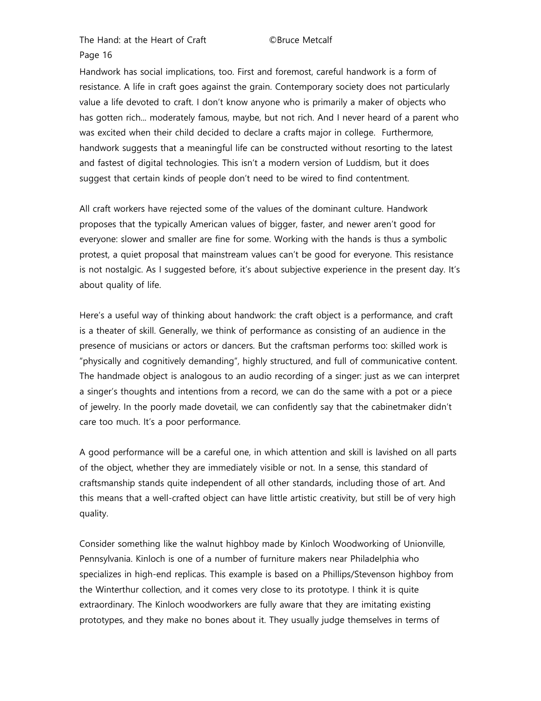Handwork has social implications, too. First and foremost, careful handwork is a form of resistance. A life in craft goes against the grain. Contemporary society does not particularly value a life devoted to craft. I don't know anyone who is primarily a maker of objects who has gotten rich... moderately famous, maybe, but not rich. And I never heard of a parent who was excited when their child decided to declare a crafts major in college. Furthermore, handwork suggests that a meaningful life can be constructed without resorting to the latest and fastest of digital technologies. This isn't a modern version of Luddism, but it does suggest that certain kinds of people don't need to be wired to find contentment.

All craft workers have rejected some of the values of the dominant culture. Handwork proposes that the typically American values of bigger, faster, and newer aren't good for everyone: slower and smaller are fine for some. Working with the hands is thus a symbolic protest, a quiet proposal that mainstream values can't be good for everyone. This resistance is not nostalgic. As I suggested before, it's about subjective experience in the present day. It's about quality of life.

Here's a useful way of thinking about handwork: the craft object is a performance, and craft is a theater of skill. Generally, we think of performance as consisting of an audience in the presence of musicians or actors or dancers. But the craftsman performs too: skilled work is "physically and cognitively demanding", highly structured, and full of communicative content. The handmade object is analogous to an audio recording of a singer: just as we can interpret a singer's thoughts and intentions from a record, we can do the same with a pot or a piece of jewelry. In the poorly made dovetail, we can confidently say that the cabinetmaker didn't care too much. It's a poor performance.

A good performance will be a careful one, in which attention and skill is lavished on all parts of the object, whether they are immediately visible or not. In a sense, this standard of craftsmanship stands quite independent of all other standards, including those of art. And this means that a well-crafted object can have little artistic creativity, but still be of very high quality.

Consider something like the walnut highboy made by Kinloch Woodworking of Unionville, Pennsylvania. Kinloch is one of a number of furniture makers near Philadelphia who specializes in high-end replicas. This example is based on a Phillips/Stevenson highboy from the Winterthur collection, and it comes very close to its prototype. I think it is quite extraordinary. The Kinloch woodworkers are fully aware that they are imitating existing prototypes, and they make no bones about it. They usually judge themselves in terms of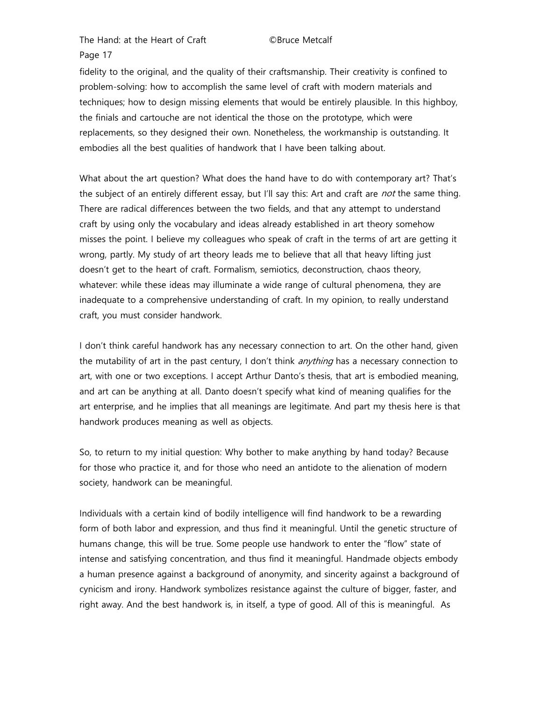## Page 17

fidelity to the original, and the quality of their craftsmanship. Their creativity is confined to problem-solving: how to accomplish the same level of craft with modern materials and techniques; how to design missing elements that would be entirely plausible. In this highboy, the finials and cartouche are not identical the those on the prototype, which were replacements, so they designed their own. Nonetheless, the workmanship is outstanding. It embodies all the best qualities of handwork that I have been talking about.

What about the art question? What does the hand have to do with contemporary art? That's the subject of an entirely different essay, but I'll say this: Art and craft are *not* the same thing. There are radical differences between the two fields, and that any attempt to understand craft by using only the vocabulary and ideas already established in art theory somehow misses the point. I believe my colleagues who speak of craft in the terms of art are getting it wrong, partly. My study of art theory leads me to believe that all that heavy lifting just doesn't get to the heart of craft. Formalism, semiotics, deconstruction, chaos theory, whatever: while these ideas may illuminate a wide range of cultural phenomena, they are inadequate to a comprehensive understanding of craft. In my opinion, to really understand craft, you must consider handwork.

I don't think careful handwork has any necessary connection to art. On the other hand, given the mutability of art in the past century, I don't think *anything* has a necessary connection to art, with one or two exceptions. I accept Arthur Danto's thesis, that art is embodied meaning, and art can be anything at all. Danto doesn't specify what kind of meaning qualifies for the art enterprise, and he implies that all meanings are legitimate. And part my thesis here is that handwork produces meaning as well as objects.

So, to return to my initial question: Why bother to make anything by hand today? Because for those who practice it, and for those who need an antidote to the alienation of modern society, handwork can be meaningful.

Individuals with a certain kind of bodily intelligence will find handwork to be a rewarding form of both labor and expression, and thus find it meaningful. Until the genetic structure of humans change, this will be true. Some people use handwork to enter the "flow" state of intense and satisfying concentration, and thus find it meaningful. Handmade objects embody a human presence against a background of anonymity, and sincerity against a background of cynicism and irony. Handwork symbolizes resistance against the culture of bigger, faster, and right away. And the best handwork is, in itself, a type of good. All of this is meaningful. As